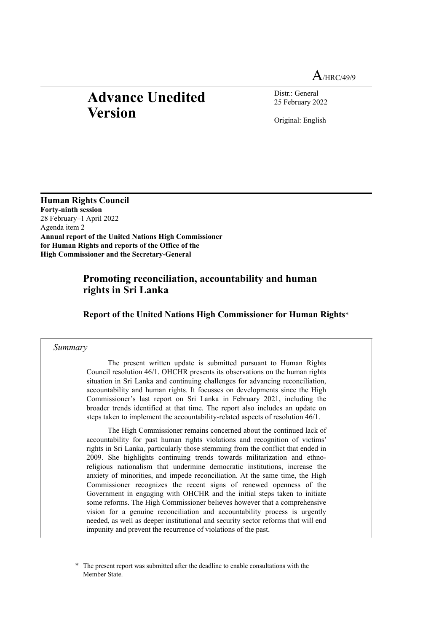$A$ /HRC/49/9

# **Advance Unedited Version**

Distr.: General 25 February 2022

<span id="page-0-1"></span>Original: English

**Human Rights Council Forty-ninth session** 28 February–1 April 2022 Agenda item 2 **Annual report of the United Nations High Commissioner for Human Rights and reports of the Office of the High Commissioner and the Secretary-General**

# **Promoting reconciliation, accountability and human rights in Sri Lanka**

**Report of the United Nations High Commissioner for Human Rights**[\\*](#page-0-0)

#### *Summary*

The present written update is submitted pursuant to Human Rights Council resolution 46/1. OHCHR presents its observations on the human rights situation in Sri Lanka and continuing challenges for advancing reconciliation, accountability and human rights. It focusses on developments since the High Commissioner's last report on Sri Lanka in February 2021, including the broader trends identified at that time. The report also includes an update on steps taken to implement the accountability-related aspects of resolution 46/1.

The High Commissioner remains concerned about the continued lack of accountability for past human rights violations and recognition of victims' rights in Sri Lanka, particularly those stemming from the conflict that ended in 2009. She highlights continuing trends towards militarization and ethnoreligious nationalism that undermine democratic institutions, increase the anxiety of minorities, and impede reconciliation. At the same time, the High Commissioner recognizes the recent signs of renewed openness of the Government in engaging with OHCHR and the initial steps taken to initiate some reforms. The High Commissioner believes however that a comprehensive vision for a genuine reconciliation and accountability process is urgently needed, as well as deeper institutional and security sector reforms that will end impunity and prevent the recurrence of violations of the past.

<span id="page-0-0"></span>[<sup>\\*</sup>](#page-0-1) The present report was submitted after the deadline to enable consultations with the Member State.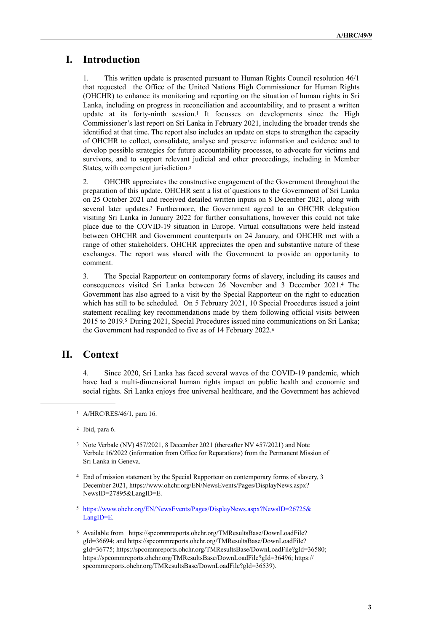## **I. Introduction**

<span id="page-2-6"></span>1. This written update is presented pursuant to Human Rights Council resolution 46/1 that requested the Office of the United Nations High Commissioner for Human Rights (OHCHR) to enhance its monitoring and reporting on the situation of human rights in Sri Lanka, including on progress in reconciliation and accountability, and to present a written update at its forty-ninth session.<sup>[1](#page-2-0)</sup> It focusses on developments since the High Commissioner's last report on Sri Lanka in February 2021, including the broader trends she identified at that time. The report also includes an update on steps to strengthen the capacity of OHCHR to collect, consolidate, analyse and preserve information and evidence and to develop possible strategies for future accountability processes, to advocate for victims and survivors, and to support relevant judicial and other proceedings, including in Member States, with competent jurisdiction[.2](#page-2-1)

<span id="page-2-8"></span><span id="page-2-7"></span>2. OHCHR appreciates the constructive engagement of the Government throughout the preparation of this update. OHCHR sent a list of questions to the Government of Sri Lanka on 25 October 2021 and received detailed written inputs on 8 December 2021, along with several later updates.<sup>[3](#page-2-2)</sup> Furthermore, the Government agreed to an OHCHR delegation visiting Sri Lanka in January 2022 for further consultations, however this could not take place due to the COVID-19 situation in Europe. Virtual consultations were held instead between OHCHR and Government counterparts on 24 January, and OHCHR met with a range of other stakeholders. OHCHR appreciates the open and substantive nature of these exchanges. The report was shared with the Government to provide an opportunity to comment.

<span id="page-2-10"></span><span id="page-2-9"></span>3. The Special Rapporteur on contemporary forms of slavery, including its causes and consequences visited Sri Lanka between 26 November and 3 December 2021.<sup>[4](#page-2-3)</sup> The Government has also agreed to a visit by the Special Rapporteur on the right to education which has still to be scheduled. On 5 February 2021, 10 Special Procedures issued a joint statement recalling key recommendations made by them following official visits between 201[5](#page-2-4) to 2019.<sup>5</sup> During 2021, Special Procedures issued nine communications on Sri Lanka; the Government had responded to five as of 14 February 2022[.6](#page-2-5)

# **II. Context**

<span id="page-2-11"></span>4. Since 2020, Sri Lanka has faced several waves of the COVID-19 pandemic, which have had a multi-dimensional human rights impact on public health and economic and social rights. Sri Lanka enjoys free universal healthcare, and the Government has achieved

- <span id="page-2-2"></span> $3$  Note Verbale (NV)  $457/2021$ , 8 December 2021 (thereafter NV  $457/2021$ ) and Note Verbale 16/2022 (information from Office for Reparations) from the Permanent Mission of Sri Lanka in Geneva.
- <span id="page-2-3"></span><sup>[4](#page-2-9)</sup> End of mission statement by the Special Rapporteur on contemporary forms of slavery, 3 December 2021, [https://www.ohchr.org/EN/NewsEvents/Pages/DisplayNews.aspx?](https://www.ohchr.org/EN/NewsEvents/Pages/DisplayNews.aspx?NewsID=27895&LangID=E) [NewsID=27895&LangID=E.](https://www.ohchr.org/EN/NewsEvents/Pages/DisplayNews.aspx?NewsID=27895&LangID=E)
- <span id="page-2-4"></span>[5](#page-2-10) [https://www.ohchr.org/EN/NewsEvents/Pages/DisplayNews.aspx?NewsID=26725&](https://www.ohchr.org/EN/NewsEvents/Pages/DisplayNews.aspx?NewsID=26725&LangID=E) [LangID=E](https://www.ohchr.org/EN/NewsEvents/Pages/DisplayNews.aspx?NewsID=26725&LangID=E).
- <span id="page-2-5"></span>[6](#page-2-11) Available from [https://spcommreports.ohchr.org/TMResultsBase/DownLoadFile?](https://spcommreports.ohchr.org/TMResultsBase/DownLoadFile?gId=36694) [gId=36694](https://spcommreports.ohchr.org/TMResultsBase/DownLoadFile?gId=36694); and [https://spcommreports.ohchr.org/TMResultsBase/DownLoadFile?](https://spcommreports.ohchr.org/TMResultsBase/DownLoadFile?gId=36775) [gId=36775](https://spcommreports.ohchr.org/TMResultsBase/DownLoadFile?gId=36775);<https://spcommreports.ohchr.org/TMResultsBase/DownLoadFile?gId=36580>; <https://spcommreports.ohchr.org/TMResultsBase/DownLoadFile?gId=36496>; https:// spcommreports.ohchr.org/TMResultsBase/DownLoadFile?gId=36539).

<span id="page-2-0"></span><sup>&</sup>lt;sup>[1](#page-2-6)</sup> A/HRC/RES/46/1, para 16.

<span id="page-2-1"></span> $2$  Ibid, para 6.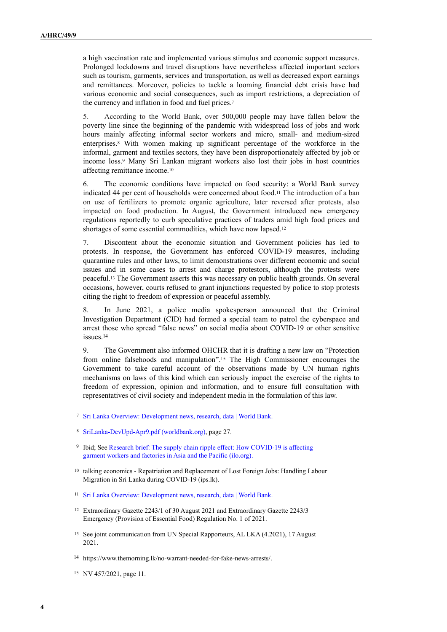a high vaccination rate and implemented various stimulus and economic support measures. Prolonged lockdowns and travel disruptions have nevertheless affected important sectors such as tourism, garments, services and transportation, as well as decreased export earnings and remittances. Moreover, policies to tackle a looming financial debt crisis have had various economic and social consequences, such as import restrictions, a depreciation of the currency and inflation in food and fuel prices.[7](#page-3-0)

<span id="page-3-10"></span><span id="page-3-9"></span>5. According to the World Bank, over 500,000 people may have fallen below the poverty line since the beginning of the pandemic with widespread loss of jobs and work hours mainly affecting informal sector workers and micro, small- and medium-sized enterprises.<sup>[8](#page-3-1)</sup> With women making up significant percentage of the workforce in the informal, garment and textiles sectors, they have been disproportionately affected by job or income loss.<sup>[9](#page-3-2)</sup> Many Sri Lankan migrant workers also lost their jobs in host countries affecting remittance income[.10](#page-3-3)

<span id="page-3-13"></span><span id="page-3-12"></span><span id="page-3-11"></span>6. The economic conditions have impacted on food security: a World Bank survey indicated 44 per cent of households were concerned about food.<sup>[11](#page-3-4)</sup> The introduction of a ban on use of fertilizers to promote organic agriculture, later reversed after protests, also impacted on food production. In August, the Government introduced new emergency regulations reportedly to curb speculative practices of traders amid high food prices and shortages of some essential commodities, which have now lapsed[.12](#page-3-5)

<span id="page-3-14"></span>7. Discontent about the economic situation and Government policies has led to protests. In response, the Government has enforced COVID-19 measures, including quarantine rules and other laws, to limit demonstrations over different economic and social issues and in some cases to arrest and charge protestors, although the protests were peaceful[.](#page-3-6)<sup>[13](#page-3-6)</sup> The Government asserts this was necessary on public health grounds. On several occasions, however, courts refused to grant injunctions requested by police to stop protests citing the right to freedom of expression or peaceful assembly.

<span id="page-3-15"></span>8. In June 2021, a police media spokesperson announced that the Criminal Investigation Department (CID) had formed a special team to patrol the cyberspace and arrest those who spread "false news" on social media about COVID-19 or other sensitive issues[.14](#page-3-7)

<span id="page-3-17"></span><span id="page-3-16"></span>9. The Government also informed OHCHR that it is drafting a new law on "Protection fromonline falsehoods and manipulation".<sup>[15](#page-3-8)</sup> The High Commissioner encourages the Government to take careful account of the observations made by UN human rights mechanisms on laws of this kind which can seriously impact the exercise of the rights to freedom of expression, opinion and information, and to ensure full consultation with representatives of civil society and independent media in the formulation of this law.

- <span id="page-3-2"></span><sup>[9](#page-3-11)</sup> Ibid; See Research brief: The supply chain ripple effect: How COVID-19 is affecting [garment workers and factories in Asia and the Pacific \(ilo.org\).](https://www.ilo.org/asia/publications/issue-briefs/WCMS_758626/lang--en/index.htm)
- <span id="page-3-3"></span> $10$  talking economics - Repatriation and Replacement of Lost Foreign Jobs: Handling Labour [Migration in Sri Lanka during COVID-19 \(ips.lk\).](https://www.ips.lk/talkingeconomics/2020/05/14/repatriation-and-replacement-of-lost-foreign-jobs-handling-labour-migration-in-sri-lanka-during-covid-19/)
- <span id="page-3-4"></span><sup>11</sup> [Sri Lanka Overview: Development news, research, data | World Bank](https://www.worldbank.org/en/country/srilanka/overview#1).
- <span id="page-3-5"></span><sup>[12](#page-3-14)</sup> Extraordinary Gazette 2243/1 of 30 August 2021 and Extraordinary Gazette 2243/3 Emergency (Provision of Essential Food) Regulation No. 1 of 2021.
- <span id="page-3-6"></span><sup>[13](#page-3-15)</sup> See joint communication from UN Special Rapporteurs, AL LKA (4.2021), 17 August 2021.

<span id="page-3-0"></span>[Sri Lanka Overview: Development news, research, data | World Bank](https://www.worldbank.org/en/country/srilanka/overview#4). [7](#page-3-9)

<span id="page-3-1"></span>[SriLanka-DevUpd-Apr9.pdf \(worldbank.org\),](https://thedocs.worldbank.org/en/doc/15b8de0edd4f39cc7a82b7aff8430576-0310062021/original/SriLanka-DevUpd-Apr9.pdf) page 27. [8](#page-3-10)

<span id="page-3-7"></span><https://www.themorning.lk/no-warrant-needed-for-fake-news-arrests/>. [14](#page-3-16)

<span id="page-3-8"></span><sup>&</sup>lt;sup>[15](#page-3-17)</sup> NV 457/2021, page 11.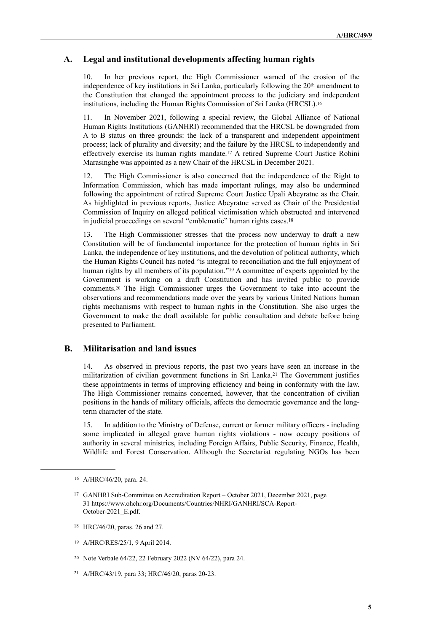#### **A. Legal and institutional developments affecting human rights**

10. In her previous report, the High Commissioner warned of the erosion of the independence of key institutions in Sri Lanka, particularly following the 20<sup>th</sup> amendment to the Constitution that changed the appointment process to the judiciary and independent institutions, including the Human Rights Commission of Sri Lanka (HRCSL). [16](#page-4-0)

<span id="page-4-6"></span>11. In November 2021, following a special review, the Global Alliance of National Human Rights Institutions (GANHRI) recommended that the HRCSL be downgraded from A to B status on three grounds: the lack of a transparent and independent appointment process; lack of plurality and diversity; and the failure by the HRCSL to independently and effectively exercise its human rights mandate[.](#page-4-1)<sup>[17](#page-4-1)</sup> A retired Supreme Court Justice Rohini Marasinghe was appointed as a new Chair of the HRCSL in December 2021.

<span id="page-4-7"></span>12. The High Commissioner is also concerned that the independence of the Right to Information Commission, which has made important rulings, may also be undermined following the appointment of retired Supreme Court Justice Upali Abeyratne as the Chair. As highlighted in previous reports, Justice Abeyratne served as Chair of the Presidential Commission of Inquiry on alleged political victimisation which obstructed and intervened in judicial proceedings on several "emblematic" human rights cases[.18](#page-4-2)

<span id="page-4-10"></span><span id="page-4-9"></span><span id="page-4-8"></span>13. The High Commissioner stresses that the process now underway to draft a new Constitution will be of fundamental importance for the protection of human rights in Sri Lanka, the independence of key institutions, and the devolution of political authority, which the Human Rights Council has noted "is integral to reconciliation and the full enjoyment of humanrights by all members of its population."<sup>[19](#page-4-3)</sup> A committee of experts appointed by the Government is working on a draft Constitution and has invited public to provide comments[.](#page-4-4)<sup>[20](#page-4-4)</sup> The High Commissioner urges the Government to take into account the observations and recommendations made over the years by various United Nations human rights mechanisms with respect to human rights in the Constitution. She also urges the Government to make the draft available for public consultation and debate before being presented to Parliament.

#### **B. Militarisation and land issues**

<span id="page-4-11"></span>14. As observed in previous reports, the past two years have seen an increase in the militarization of civilian government functions in Sri Lanka.<sup>[21](#page-4-5)</sup> The Government justifies these appointments in terms of improving efficiency and being in conformity with the law. The High Commissioner remains concerned, however, that the concentration of civilian positions in the hands of military officials, affects the democratic governance and the longterm character of the state.

15. In addition to the Ministry of Defense, current or former military officers - including some implicated in alleged grave human rights violations - now occupy positions of authority in several ministries, including Foreign Affairs, Public Security, Finance, Health, Wildlife and Forest Conservation. Although the Secretariat regulating NGOs has been

- <span id="page-4-2"></span><sup>[18](#page-4-8)</sup> HRC/46/20, paras. 26 and 27.
- <span id="page-4-3"></span>A/HRC/RES/25/1, 9 April 2014. [19](#page-4-9)

<span id="page-4-0"></span><sup>16</sup> A/HRC/46/20, para. 24.

<span id="page-4-1"></span><sup>&</sup>lt;sup>[17](#page-4-7)</sup> GANHRI Sub-Committee on Accreditation Report – October 2021, December 2021, page 31 [https://www.ohchr.org/Documents/Countries/NHRI/GANHRI/SCA-Report-](https://www.ohchr.org/Documents/Countries/NHRI/GANHRI/SCA-Report-October-2021_E.pdf)[October-2021\\_E.pdf.](https://www.ohchr.org/Documents/Countries/NHRI/GANHRI/SCA-Report-October-2021_E.pdf) 

<span id="page-4-4"></span><sup>&</sup>lt;sup>[20](#page-4-10)</sup> Note Verbale 64/22, 22 February 2022 (NV 64/22), para 24.

<span id="page-4-5"></span><sup>&</sup>lt;sup>[21](#page-4-11)</sup> A/HRC/43/19, para 33; HRC/46/20, paras 20-23.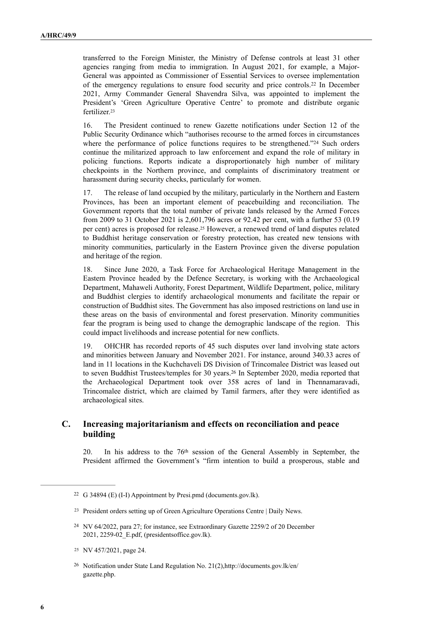<span id="page-5-5"></span>transferred to the Foreign Minister, the Ministry of Defense controls at least 31 other agencies ranging from media to immigration. In August 2021, for example, a Major-General was appointed as Commissioner of Essential Services to oversee implementation of the emergency regulations to ensure food security and price controls[.](#page-5-0)<sup>[22](#page-5-0)</sup> In December 2021, Army Commander General Shavendra Silva, was appointed to implement the President's 'Green Agriculture Operative Centre' to promote and distribute organic fertilizer[.23](#page-5-1)

<span id="page-5-7"></span><span id="page-5-6"></span>16. The President continued to renew Gazette notifications under Section 12 of the Public Security Ordinance which "authorises recourse to the armed forces in circumstances where the performance of police functions requires to be strengthened."[24](#page-5-2) Such orders continue the militarized approach to law enforcement and expand the role of military in policing functions. Reports indicate a disproportionately high number of military checkpoints in the Northern province, and complaints of discriminatory treatment or harassment during security checks, particularly for women.

<span id="page-5-8"></span>17. The release of land occupied by the military, particularly in the Northern and Eastern Provinces, has been an important element of peacebuilding and reconciliation. The Government reports that the total number of private lands released by the Armed Forces from 2009 to 31 October 2021 is 2,601,796 acres or 92.42 per cent, with a further 53 (0.19 percent) acres is proposed for release.<sup>[25](#page-5-3)</sup> However, a renewed trend of land disputes related to Buddhist heritage conservation or forestry protection, has created new tensions with minority communities, particularly in the Eastern Province given the diverse population and heritage of the region.

18. Since June 2020, a Task Force for Archaeological Heritage Management in the Eastern Province headed by the Defence Secretary, is working with the Archaeological Department, Mahaweli Authority, Forest Department, Wildlife Department, police, military and Buddhist clergies to identify archaeological monuments and facilitate the repair or construction of Buddhist sites. The Government has also imposed restrictions on land use in these areas on the basis of environmental and forest preservation. Minority communities fear the program is being used to change the demographic landscape of the region. This could impact livelihoods and increase potential for new conflicts.

<span id="page-5-9"></span>19. OHCHR has recorded reports of 45 such disputes over land involving state actors and minorities between January and November 2021. For instance, around 340.33 acres of land in 11 locations in the Kuchchaveli DS Division of Trincomalee District was leased out toseven Buddhist Trustees/temples for 30 years.<sup>[26](#page-5-4)</sup> In September 2020, media reported that the Archaeological Department took over 358 acres of land in Thennamaravadi, Trincomalee district, which are claimed by Tamil farmers, after they were identified as archaeological sites.

### **C. Increasing majoritarianism and effects on reconciliation and peace building**

20. In his address to the 76th session of the General Assembly in September, the President affirmed the Government's "firm intention to build a prosperous, stable and

<span id="page-5-0"></span><sup>&</sup>lt;sup>22</sup> [G 34894 \(E\) \(I-I\) Appointment by Presi.pmd \(documents.gov.lk\).](http://documents.gov.lk/files/egz/2021/8/2243-05_E.pdf)

<span id="page-5-1"></span><sup>&</sup>lt;sup>23</sup> [President orders setting up of Green Agriculture Operations Centre | Daily News.](http://www.dailynews.lk/2021/12/06/local/266508/president-orders-setting-green-agriculture-operations-centre)

<span id="page-5-2"></span><sup>&</sup>lt;sup>[24](#page-5-7)</sup> NV 64/2022, para 27; for instance, see Extraordinary Gazette 2259/2 of 20 December 2021, [2259-02\\_E.pdf, \(presidentsoffice.gov.lk\).](https://www.presidentsoffice.gov.lk/wp-content/uploads/2021/12/2259-02_E.pdf)

<span id="page-5-3"></span><sup>&</sup>lt;sup>[25](#page-5-8)</sup> NV 457/2021, page 24.

<span id="page-5-4"></span><sup>&</sup>lt;sup>26</sup> Notification under State Land Regulation No. 21(2)[,http://documents.gov.lk/en/](http://documents.gov.lk/en/gazette.php) [gazette.php.](http://documents.gov.lk/en/gazette.php)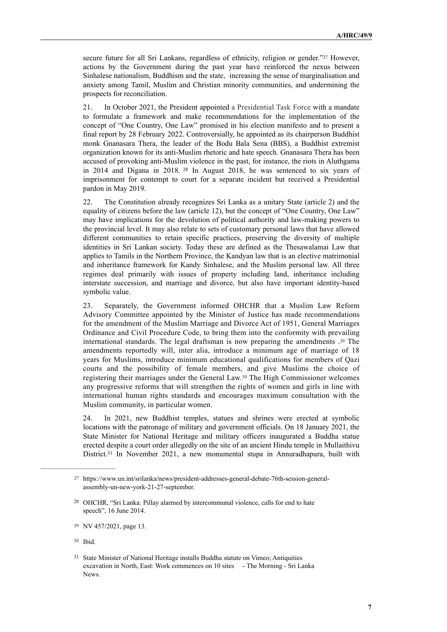<span id="page-6-5"></span>secure future for all Sri Lankans, regardless of ethnicity, religion or gender.["](#page-6-0)<sup>[27](#page-6-0)</sup> However, actions by the Government during the past year have reinforced the nexus between Sinhalese nationalism, Buddhism and the state, increasing the sense of marginalisation and anxiety among Tamil, Muslim and Christian minority communities, and undermining the prospects for reconciliation.

21. In October 2021, the President appointed a Presidential Task Force with a mandate to formulate a framework and make recommendations for the implementation of the concept of "One Country, One Law" promised in his election manifesto and to present a final report by 28 February 2022. Controversially, he appointed as its chairperson Buddhist monk Gnanasara Thera, the leader of the Bodu Bala Sena (BBS), a Buddhist extremist organization known for its anti-Muslim rhetoric and hate speech. Gnanasara Thera has been accused of provoking anti-Muslim violence in the past, for instance, the riots in Aluthgama in 2014 and Digana in 2018. <sup>[28](#page-6-1)</sup> In August 2018, he was sentenced to six years of imprisonment for contempt to court for a separate incident but received a Presidential pardon in May 2019.

<span id="page-6-6"></span>22. The Constitution already recognizes Sri Lanka as a unitary State (article 2) and the equality of citizens before the law (article 12), but the concept of "One Country, One Law" may have implications for the devolution of political authority and law-making powers to the provincial level. It may also relate to sets of customary personal laws that have allowed different communities to retain specific practices, preserving the diversity of multiple identities in Sri Lankan society. Today these are defined as the Thesawalamai Law that applies to Tamils in the Northern Province, the Kandyan law that is an elective matrimonial and inheritance framework for Kandy Sinhalese, and the Muslim personal law. All three regimes deal primarily with issues of property including land, inheritance including interstate succession, and marriage and divorce, but also have important identity-based symbolic value.

<span id="page-6-7"></span>23. Separately, the Government informed OHCHR that a Muslim Law Reform Advisory Committee appointed by the Minister of Justice has made recommendations for the amendment of the Muslim Marriage and Divorce Act of 1951, General Marriages Ordinance and Civil Procedure Code, to bring them into the conformity with prevailing international standards. The legal draftsman is now preparing the amendments  $29$  The amendments reportedly will, inter alia, introduce a minimum age of marriage of 18 years for Muslims, introduce minimum educational qualifications for members of Qazi courts and the possibility of female members, and give Muslims the choice of registering their marriages under the General Law.<sup>[30](#page-6-3)</sup> The High Commissioner welcomes any progressive reforms that will strengthen the rights of women and girls in line with international human rights standards and encourages maximum consultation with the Muslim community, in particular women.

<span id="page-6-8"></span>24. In 2021, new Buddhist temples, statues and shrines were erected at symbolic locations with the patronage of military and government officials. On 18 January 2021, the State Minister for National Heritage and military officers inaugurated a Buddha statue erected despite a court order allegedly on the site of an ancient Hindu temple in Mullaithivu District.<sup>[31](#page-6-4)</sup> In November 2021, a new monumental stupa in Annuradhapura, built with

<span id="page-6-9"></span><span id="page-6-0"></span>[https://www.un.int/srilanka/news/president-addresses-general-debate-76th-session-general-](https://www.un.int/srilanka/news/president-addresses-general-debate-76th-session-general-assembly-un-new-york-21-27-september) [27](#page-6-5) [assembly-un-new-york-21-27-september](https://www.un.int/srilanka/news/president-addresses-general-debate-76th-session-general-assembly-un-new-york-21-27-september).

<span id="page-6-1"></span><sup>&</sup>lt;sup>[28](#page-6-6)</sup> OHCHR, "Sri Lanka: Pillay alarmed by intercommunal violence, calls for end to hate speech", 16 June 2014.

<span id="page-6-2"></span><sup>&</sup>lt;sup>[29](#page-6-7)</sup> NV 457/2021, page 13.

<span id="page-6-3"></span>[<sup>30</sup>](#page-6-8) Ibid.

<span id="page-6-4"></span><sup>&</sup>lt;sup>31</sup> [State Minister of National Heritage installs Buddha statute on Vimeo;](https://vimeo.com/519934257) Antiquities excavation in North, East: Work commences on 10 sites - The Morning - Sri Lanka [News](https://www.themorning.lk/antiquities-excavation-in-north-east-work-commences-on-10-sites/).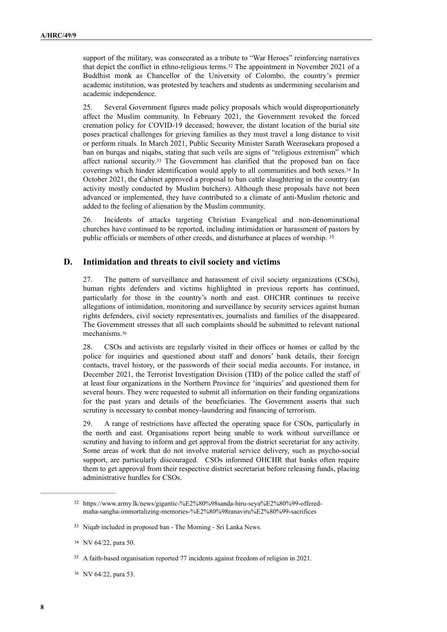<span id="page-7-5"></span>support of the military, was consecrated as a tribute to "War Heroes" reinforcing narratives that depict the conflict in ethno-religious terms.<sup>[32](#page-7-0)</sup> The appointment in November 2021 of a Buddhist monk as Chancellor of the University of Colombo, the country's premier academic institution, was protested by teachers and students as undermining secularism and academic independence.

<span id="page-7-6"></span>25. Several Government figures made policy proposals which would disproportionately affect the Muslim community. In February 2021, the Government revoked the forced cremation policy for COVID-19 deceased; however, the distant location of the burial site poses practical challenges for grieving families as they must travel a long distance to visit or perform rituals. In March 2021, Public Security Minister Sarath Weerasekara proposed a ban on burqas and niqabs, stating that such veils are signs of "religious extremism" which affect national security[.](#page-7-1)<sup>[33](#page-7-1)</sup> The Government has clarified that the proposed ban on face coverings which hinder identification would apply to all communities and both sexes[.](#page-7-2)<sup>[34](#page-7-2)</sup> In October 2021, the Cabinet approved a proposal to ban cattle slaughtering in the country (an activity mostly conducted by Muslim butchers). Although these proposals have not been advanced or implemented, they have contributed to a climate of anti-Muslim rhetoric and added to the feeling of alienation by the Muslim community.

<span id="page-7-8"></span><span id="page-7-7"></span>26. Incidents of attacks targeting Christian Evangelical and non-denominational churches have continued to be reported, including intimidation or harassment of pastors by public officials or members of other creeds, and disturbance at places of worship. [35](#page-7-3)

#### **D. Intimidation and threats to civil society and victims**

27. The pattern of surveillance and harassment of civil society organizations (CSOs), human rights defenders and victims highlighted in previous reports has continued, particularly for those in the country's north and east. OHCHR continues to receive allegations of intimidation, monitoring and surveillance by security services against human rights defenders, civil society representatives, journalists and families of the disappeared. The Government stresses that all such complaints should be submitted to relevant national mechanisms.[36](#page-7-4)

<span id="page-7-9"></span>28. CSOs and activists are regularly visited in their offices or homes or called by the police for inquiries and questioned about staff and donors' bank details, their foreign contacts, travel history, or the passwords of their social media accounts. For instance, in December 2021, the Terrorist Investigation Division (TID) of the police called the staff of at least four organizations in the Northern Province for 'inquiries' and questioned them for several hours. They were requested to submit all information on their funding organizations for the past years and details of the beneficiaries. The Government asserts that such scrutiny is necessary to combat money-laundering and financing of terrorism.

29. A range of restrictions have affected the operating space for CSOs, particularly in the north and east. Organisations report being unable to work without surveillance or scrutiny and having to inform and get approval from the district secretariat for any activity. Some areas of work that do not involve material service delivery, such as psycho-social support, are particularly discouraged. CSOs informed OHCHR that banks often require them to get approval from their respective district secretariat before releasing funds, placing administrative hurdles for CSOs.

<span id="page-7-0"></span><sup>&</sup>lt;sup>32</sup> [https://www.army.lk/news/gigantic-%E2%80%98sanda-hiru-seya%E2%80%99-offered](https://www.army.lk/news/gigantic-%25E2%2580%2598sanda-hiru-seya%25E2%2580%2599-offered-maha-sangha-immortalizing-memories-%25E2%2580%2598ranaviru%25E2%2580%2599-sacrifices) [maha-sangha-immortalizing-memories-%E2%80%98ranaviru%E2%80%99-sacrifices](https://www.army.lk/news/gigantic-%25E2%2580%2598sanda-hiru-seya%25E2%2580%2599-offered-maha-sangha-immortalizing-memories-%25E2%2580%2598ranaviru%25E2%2580%2599-sacrifices) 

<span id="page-7-1"></span><sup>&</sup>lt;sup>33</sup> [Niqab included in proposed ban - The Morning - Sri Lanka News](https://www.themorning.lk/niqab-included-in-proposed-ban/).

<span id="page-7-2"></span>[<sup>34</sup>](#page-7-7) NV 64/22, para 50.

<span id="page-7-3"></span>A faith-based organisation reported 77 incidents against freedom of religion in 2021. [35](#page-7-8)

<span id="page-7-4"></span><sup>36</sup> NV 64/22, para 53.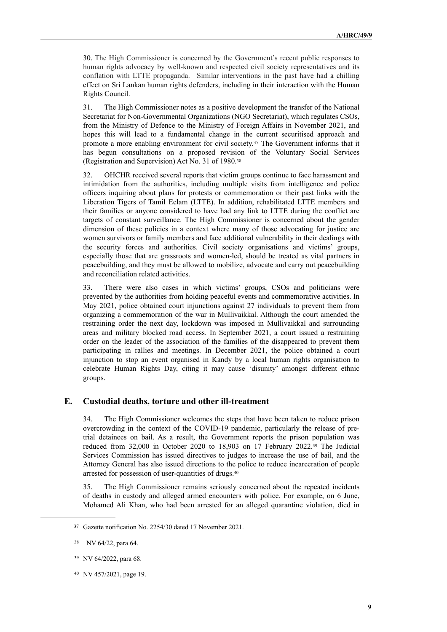30. The High Commissioner is concerned by the Government's recent public responses to human rights advocacy by well-known and respected civil society representatives and its conflation with LTTE propaganda. Similar interventions in the past have had a chilling effect on Sri Lankan human rights defenders, including in their interaction with the Human Rights Council.

31. The High Commissioner notes as a positive development the transfer of the National Secretariat for Non-Governmental Organizations (NGO Secretariat), which regulates CSOs, from the Ministry of Defence to the Ministry of Foreign Affairs in November 2021, and hopes this will lead to a fundamental change in the current securitised approach and promotea more enabling environment for civil society.<sup>[37](#page-8-0)</sup> The Government informs that it has begun consultations on a proposed revision of the Voluntary Social Services (Registration and Supervision) Act No. 31 of 1980[.38](#page-8-1)

<span id="page-8-5"></span><span id="page-8-4"></span>32. OHCHR received several reports that victim groups continue to face harassment and intimidation from the authorities, including multiple visits from intelligence and police officers inquiring about plans for protests or commemoration or their past links with the Liberation Tigers of Tamil Eelam (LTTE). In addition, rehabilitated LTTE members and their families or anyone considered to have had any link to LTTE during the conflict are targets of constant surveillance. The High Commissioner is concerned about the gender dimension of these policies in a context where many of those advocating for justice are women survivors or family members and face additional vulnerability in their dealings with the security forces and authorities. Civil society organisations and victims' groups, especially those that are grassroots and women-led, should be treated as vital partners in peacebuilding, and they must be allowed to mobilize, advocate and carry out peacebuilding and reconciliation related activities.

33. There were also cases in which victims' groups, CSOs and politicians were prevented by the authorities from holding peaceful events and commemorative activities. In May 2021, police obtained court injunctions against 27 individuals to prevent them from organizing a commemoration of the war in Mullivaikkal. Although the court amended the restraining order the next day, lockdown was imposed in Mullivaikkal and surrounding areas and military blocked road access. In September 2021, a court issued a restraining order on the leader of the association of the families of the disappeared to prevent them participating in rallies and meetings. In December 2021, the police obtained a court injunction to stop an event organised in Kandy by a local human rights organisation to celebrate Human Rights Day, citing it may cause 'disunity' amongst different ethnic groups.

#### **E. Custodial deaths, torture and other ill-treatment**

<span id="page-8-6"></span>34. The High Commissioner welcomes the steps that have been taken to reduce prison overcrowding in the context of the COVID-19 pandemic, particularly the release of pretrial detainees on bail. As a result, the Government reports the prison population was reducedfrom  $32,000$  in October 2020 to 18,903 on 17 February 2022.<sup>[39](#page-8-2)</sup> The Judicial Services Commission has issued directives to judges to increase the use of bail, and the Attorney General has also issued directions to the police to reduce incarceration of people arrested for possession of user-quantities of drugs. [40](#page-8-3)

<span id="page-8-7"></span>35. The High Commissioner remains seriously concerned about the repeated incidents of deaths in custody and alleged armed encounters with police. For example, on 6 June, Mohamed Ali Khan, who had been arrested for an alleged quarantine violation, died in

<span id="page-8-0"></span>Gazette notification No. 2254/30 dated 17 November 2021. [37](#page-8-4)

<span id="page-8-1"></span>NV 64/22, para 64.

<span id="page-8-2"></span><sup>&</sup>lt;sup>[39](#page-8-6)</sup> NV 64/2022, para 68.

<span id="page-8-3"></span>[<sup>40</sup>](#page-8-7) NV 457/2021, page 19.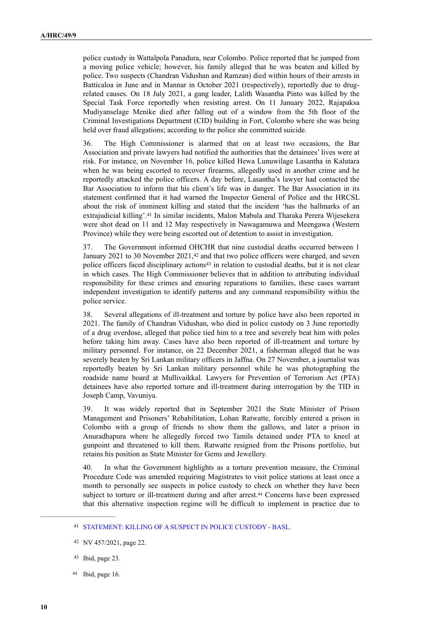police custody in Wattalpola Panadura, near Colombo. Police reported that he jumped from a moving police vehicle; however, his family alleged that he was beaten and killed by police. Two suspects (Chandran Vidushan and Ramzan) died within hours of their arrests in Batticaloa in June and in Mannar in October 2021 (respectively), reportedly due to drugrelated causes. On 18 July 2021, a gang leader, Lalith Wasantha Pinto was killed by the Special Task Force reportedly when resisting arrest. On 11 January 2022, Rajapaksa Mudiyanselage Menike died after falling out of a window from the 5th floor of the Criminal Investigations Department (CID) building in Fort, Colombo where she was being held over fraud allegations; according to the police she committed suicide.

36. The High Commissioner is alarmed that on at least two occasions, the Bar Association and private lawyers had notified the authorities that the detainees' lives were at risk. For instance, on November 16, police killed Hewa Lunuwilage Lasantha in Kalutara when he was being escorted to recover firearms, allegedly used in another crime and he reportedly attacked the police officers. A day before, Lasantha's lawyer had contacted the Bar Association to inform that his client's life was in danger. The Bar Association in its statement confirmed that it had warned the Inspector General of Police and the HRCSL about the risk of imminent killing and stated that the incident 'has the hallmarks of an extrajudicial killing'.<sup>[41](#page-9-0)</sup> In similar incidents, Malon Mabula and Tharaka Perera Wijesekera were shot dead on 11 and 12 May respectively in Nawagamuwa and Meengawa (Western Province) while they were being escorted out of detention to assist in investigation.

<span id="page-9-6"></span><span id="page-9-5"></span><span id="page-9-4"></span>37. The Government informed OHCHR that nine custodial deaths occurred between 1 January2021 to 30 November 2021, $42$  and that two police officers were charged, and seven police officers faced disciplinary actions<sup> $43$ </sup> in relation to custodial deaths, but it is not clear in which cases. The High Commissioner believes that in addition to attributing individual responsibility for these crimes and ensuring reparations to families, these cases warrant independent investigation to identify patterns and any command responsibility within the police service.

38. Several allegations of ill-treatment and torture by police have also been reported in 2021. The family of Chandran Vidushan, who died in police custody on 3 June reportedly of a drug overdose, alleged that police tied him to a tree and severely beat him with poles before taking him away. Cases have also been reported of ill-treatment and torture by military personnel. For instance, on 22 December 2021, a fisherman alleged that he was severely beaten by Sri Lankan military officers in Jaffna. On 27 November, a journalist was reportedly beaten by Sri Lankan military personnel while he was photographing the roadside name board at Mullivaikkal. Lawyers for Prevention of Terrorism Act (PTA) detainees have also reported torture and ill-treatment during interrogation by the TID in Joseph Camp, Vavuniya.

39. It was widely reported that in September 2021 the State Minister of Prison Management and Prisoners' Rehabilitation, Lohan Ratwatte, forcibly entered a prison in Colombo with a group of friends to show them the gallows, and later a prison in Anuradhapura where he allegedly forced two Tamils detained under PTA to kneel at gunpoint and threatened to kill them. Ratwatte resigned from the Prisons portfolio, but retains his position as State Minister for Gems and Jewellery.

<span id="page-9-7"></span>40. In what the Government highlights as a torture prevention measure, the Criminal Procedure Code was amended requiring Magistrates to visit police stations at least once a month to personally see suspects in police custody to check on whether they have been subjectto torture or ill-treatment during and after arrest.<sup>[44](#page-9-3)</sup> Concerns have been expressed that this alternative inspection regime will be difficult to implement in practice due to

<span id="page-9-3"></span>44 Ibid, page 16.

<span id="page-9-0"></span>[STATEMENT: KILLING OF A SUSPECT IN POLICE CUSTODY - BASL.](https://basl.lk/statement-killing-of-a-suspect-in-police-custody/) [41](#page-9-4)

<span id="page-9-1"></span><sup>42</sup> NV 457/2021, page 22.

<span id="page-9-2"></span> $43$  Ibid, page 23.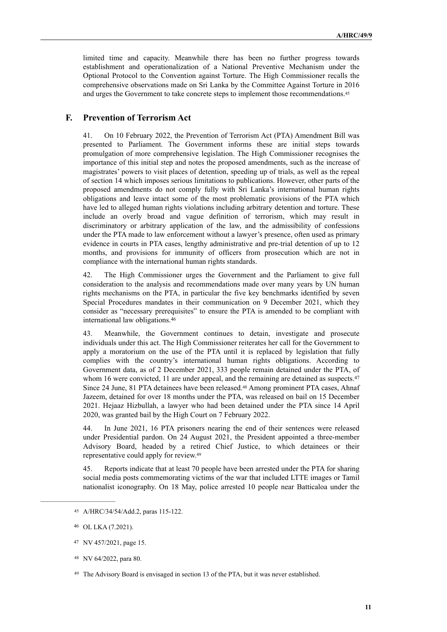<span id="page-10-5"></span>limited time and capacity. Meanwhile there has been no further progress towards establishment and operationalization of a National Preventive Mechanism under the Optional Protocol to the Convention against Torture. The High Commissioner recalls the comprehensive observations made on Sri Lanka by the Committee Against Torture in 2016 and urges the Government to take concrete steps to implement those recommendations.[45](#page-10-0)

#### **F. Prevention of Terrorism Act**

41. On 10 February 2022, the Prevention of Terrorism Act (PTA) Amendment Bill was presented to Parliament. The Government informs these are initial steps towards promulgation of more comprehensive legislation. The High Commissioner recognises the importance of this initial step and notes the proposed amendments, such as the increase of magistrates' powers to visit places of detention, speeding up of trials, as well as the repeal of section 14 which imposes serious limitations to publications. However, other parts of the proposed amendments do not comply fully with Sri Lanka's international human rights obligations and leave intact some of the most problematic provisions of the PTA which have led to alleged human rights violations including arbitrary detention and torture. These include an overly broad and vague definition of terrorism, which may result in discriminatory or arbitrary application of the law, and the admissibility of confessions under the PTA made to law enforcement without a lawyer's presence, often used as primary evidence in courts in PTA cases, lengthy administrative and pre-trial detention of up to 12 months, and provisions for immunity of officers from prosecution which are not in compliance with the international human rights standards.

42. The High Commissioner urges the Government and the Parliament to give full consideration to the analysis and recommendations made over many years by UN human rights mechanisms on the PTA, in particular the five key benchmarks identified by seven Special Procedures mandates in their communication on 9 December 2021, which they consider as "necessary prerequisites" to ensure the PTA is amended to be compliant with international law obligations.[46](#page-10-1)

<span id="page-10-7"></span><span id="page-10-6"></span>43. Meanwhile, the Government continues to detain, investigate and prosecute individuals under this act. The High Commissioner reiterates her call for the Government to apply a moratorium on the use of the PTA until it is replaced by legislation that fully complies with the country's international human rights obligations. According to Government data, as of 2 December 2021, 333 people remain detained under the PTA, of whom 16 were convicted, 11 are under appeal, and the remaining are detained as suspects.<sup>47</sup> Since 24 June, 81 PTA detainees have been released[.](#page-10-3)<sup>[48](#page-10-3)</sup> Among prominent PTA cases, Ahnaf Jazeem, detained for over 18 months under the PTA, was released on bail on 15 December 2021. Hejaaz Hizbullah, a lawyer who had been detained under the PTA since 14 April 2020, was granted bail by the High Court on 7 February 2022.

<span id="page-10-8"></span>44. In June 2021, 16 PTA prisoners nearing the end of their sentences were released under Presidential pardon. On 24 August 2021, the President appointed a three-member Advisory Board, headed by a retired Chief Justice, to which detainees or their representative could apply for review.[49](#page-10-4)

<span id="page-10-9"></span>45. Reports indicate that at least 70 people have been arrested under the PTA for sharing social media posts commemorating victims of the war that included LTTE images or Tamil nationalist iconography. On 18 May, police arrested 10 people near Batticaloa under the

<span id="page-10-0"></span>A/HRC/34/54/Add.2, paras 115-122. [45](#page-10-5)

<span id="page-10-1"></span>OL LKA (7.2021). [46](#page-10-6)

<span id="page-10-2"></span>NV 457/2021, page 15. [47](#page-10-7)

<span id="page-10-3"></span>[<sup>48</sup>](#page-10-8) NV 64/2022, para 80.

<span id="page-10-4"></span><sup>&</sup>lt;sup>49</sup> The Advisory Board is envisaged in section 13 of the PTA, but it was never established.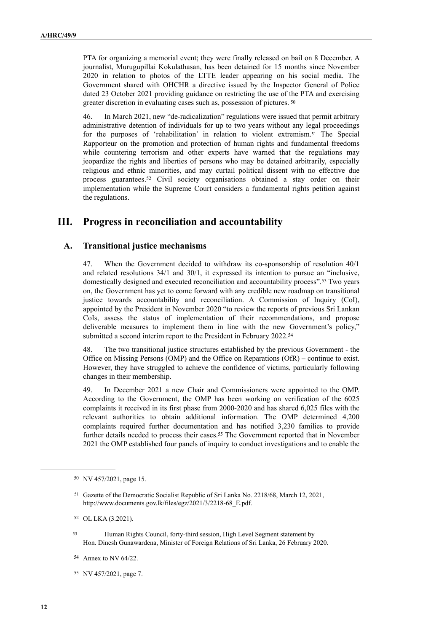PTA for organizing a memorial event; they were finally released on bail on 8 December. A journalist, Murugupillai Kokulathasan, has been detained for 15 months since November 2020 in relation to photos of the LTTE leader appearing on his social media. The Government shared with OHCHR a directive issued by the Inspector General of Police dated 23 October 2021 providing guidance on restricting the use of the PTA and exercising greater discretion in evaluating cases such as, possession of pictures. [50](#page-11-0)

<span id="page-11-8"></span><span id="page-11-7"></span><span id="page-11-6"></span>46. In March 2021, new "de-radicalization" regulations were issued that permit arbitrary administrative detention of individuals for up to two years without any legal proceedings for the purposes of 'rehabilitation' in relation to violent extremism.<sup>[51](#page-11-1)</sup> The Special Rapporteur on the promotion and protection of human rights and fundamental freedoms while countering terrorism and other experts have warned that the regulations may jeopardize the rights and liberties of persons who may be detained arbitrarily, especially religious and ethnic minorities, and may curtail political dissent with no effective due processguarantees.<sup>[52](#page-11-2)</sup> Civil society organisations obtained a stay order on their implementation while the Supreme Court considers a fundamental rights petition against the regulations.

# **III. Progress in reconciliation and accountability**

#### **A. Transitional justice mechanisms**

<span id="page-11-9"></span>47. When the Government decided to withdraw its co-sponsorship of resolution 40/1 and related resolutions 34/1 and 30/1, it expressed its intention to pursue an "inclusive, domestically designed and executed reconciliation and accountability process"[.](#page-11-3)<sup>[53](#page-11-3)</sup> Two years on, the Government has yet to come forward with any credible new roadmap on transitional justice towards accountability and reconciliation. A Commission of Inquiry (CoI), appointed by the President in November 2020 "to review the reports of previous Sri Lankan CoIs, assess the status of implementation of their recommendations, and propose deliverable measures to implement them in line with the new Government's policy," submitted a second interim report to the President in February 2022.<sup>[54](#page-11-4)</sup>

<span id="page-11-10"></span>48. The two transitional justice structures established by the previous Government - the Office on Missing Persons (OMP) and the Office on Reparations (OfR) – continue to exist. However, they have struggled to achieve the confidence of victims, particularly following changes in their membership.

<span id="page-11-11"></span>49. In December 2021 a new Chair and Commissioners were appointed to the OMP. According to the Government, the OMP has been working on verification of the 6025 complaints it received in its first phase from 2000-2020 and has shared 6,025 files with the relevant authorities to obtain additional information. The OMP determined 4,200 complaints required further documentation and has notified 3,230 families to provide further details needed to process their cases.<sup>[55](#page-11-5)</sup> The Government reported that in November 2021 the OMP established four panels of inquiry to conduct investigations and to enable the

<span id="page-11-2"></span>[52](#page-11-8) OL LKA (3.2021).

<span id="page-11-3"></span>Human Rights Council, forty-third session, High Level Segment statement by [53](#page-11-9) Hon. Dinesh Gunawardena, Minister of Foreign Relations of Sri Lanka, 26 February 2020.

<span id="page-11-4"></span>[54](#page-11-10) Annex to NV 64/22.

<span id="page-11-0"></span><sup>&</sup>lt;sup>[50](#page-11-6)</sup> NV 457/2021, page 15.

<span id="page-11-1"></span><sup>&</sup>lt;sup>[51](#page-11-7)</sup> Gazette of the Democratic Socialist Republic of Sri Lanka No. 2218/68, March 12, 2021, [http://www.documents.gov.lk/files/egz/2021/3/2218-68\\_E.pdf.](http://www.documents.gov.lk/files/egz/2021/3/2218-68_E.pdf)

<span id="page-11-5"></span>[<sup>55</sup>](#page-11-11) NV 457/2021, page 7.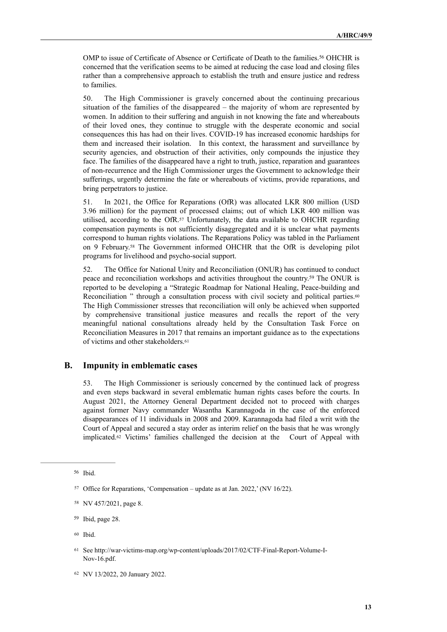<span id="page-12-7"></span>OMP to issue of Certificate of Absence or Certificate of Death to the families.<sup>[56](#page-12-0)</sup> OHCHR is concerned that the verification seems to be aimed at reducing the case load and closing files rather than a comprehensive approach to establish the truth and ensure justice and redress to families.

50. The High Commissioner is gravely concerned about the continuing precarious situation of the families of the disappeared – the majority of whom are represented by women. In addition to their suffering and anguish in not knowing the fate and whereabouts of their loved ones, they continue to struggle with the desperate economic and social consequences this has had on their lives. COVID-19 has increased economic hardships for them and increased their isolation. In this context, the harassment and surveillance by security agencies, and obstruction of their activities, only compounds the injustice they face. The families of the disappeared have a right to truth, justice, reparation and guarantees of non-recurrence and the High Commissioner urges the Government to acknowledge their sufferings, urgently determine the fate or whereabouts of victims, provide reparations, and bring perpetrators to justice.

<span id="page-12-8"></span>51. In 2021, the Office for Reparations (OfR) was allocated LKR 800 million (USD 3.96 million) for the payment of processed claims; out of which LKR 400 million was utilised,according to the OfR.<sup>[57](#page-12-1)</sup> Unfortunately, the data available to OHCHR regarding compensation payments is not sufficiently disaggregated and it is unclear what payments correspond to human rights violations. The Reparations Policy was tabled in the Parliament on 9 February[.](#page-12-2)<sup>[58](#page-12-2)</sup> The Government informed OHCHR that the OfR is developing pilot programs for livelihood and psycho-social support.

<span id="page-12-11"></span><span id="page-12-10"></span><span id="page-12-9"></span>52. The Office for National Unity and Reconciliation (ONUR) has continued to conduct peaceand reconciliation workshops and activities throughout the country.<sup>[59](#page-12-3)</sup> The ONUR is reported to be developing a "Strategic Roadmap for National Healing, Peace-building and Reconciliation " through a consultation process with civil society and political parties.<sup>[60](#page-12-4)</sup> The High Commissioner stresses that reconciliation will only be achieved when supported by comprehensive transitional justice measures and recalls the report of the very meaningful national consultations already held by the Consultation Task Force on Reconciliation Measures in 2017 that remains an important guidance as to the expectations of victims and other stakeholders.[61](#page-12-5)

#### **B. Impunity in emblematic cases**

<span id="page-12-12"></span>53. The High Commissioner is seriously concerned by the continued lack of progress and even steps backward in several emblematic human rights cases before the courts. In August 2021, the Attorney General Department decided not to proceed with charges against former Navy commander Wasantha Karannagoda in the case of the enforced disappearances of 11 individuals in 2008 and 2009. Karannagoda had filed a writ with the Court of Appeal and secured a stay order as interim relief on the basis that he was wrongly implicated[.](#page-12-6) $62$  Victims' families challenged the decision at the Court of Appeal with

<span id="page-12-13"></span><span id="page-12-0"></span>[<sup>56</sup>](#page-12-7) Ibid.

<span id="page-12-1"></span><sup>&</sup>lt;sup>[57](#page-12-8)</sup> Office for Reparations, 'Compensation – update as at Jan. 2022,' (NV 16/22).

<span id="page-12-2"></span>[<sup>58</sup>](#page-12-9) NV 457/2021, page 8.

<span id="page-12-3"></span><sup>&</sup>lt;sup>[59](#page-12-10)</sup> Ibid, page 28.

<span id="page-12-4"></span>Ibid. [60](#page-12-11)

<span id="page-12-5"></span>See [http://war-victims-map.org/wp-content/uploads/2017/02/CTF-Final-Report-Volume-I-](http://war-victims-map.org/wp-content/uploads/2017/02/CTF-Final-Report-Volume-I-Nov-16.pdf) [61](#page-12-12) [Nov-16.pdf.](http://war-victims-map.org/wp-content/uploads/2017/02/CTF-Final-Report-Volume-I-Nov-16.pdf)

<span id="page-12-6"></span>[<sup>62</sup>](#page-12-13) NV 13/2022, 20 January 2022.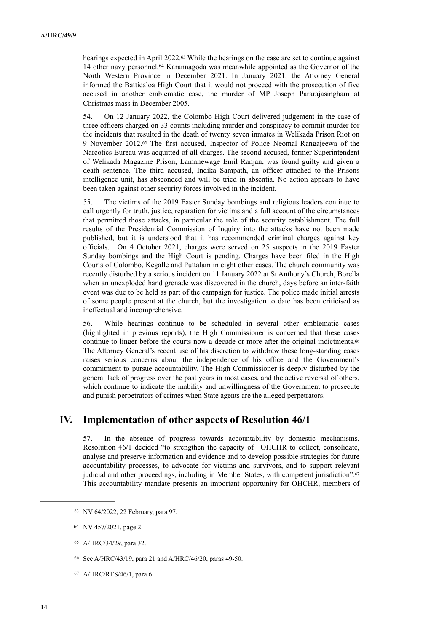<span id="page-13-6"></span><span id="page-13-5"></span>hearings expected in April 2022[.](#page-13-0)<sup>[63](#page-13-0)</sup> While the hearings on the case are set to continue against 14 other navy personnel,  $64$  Karannagoda was meanwhile appointed as the Governor of the North Western Province in December 2021. In January 2021, the Attorney General informed the Batticaloa High Court that it would not proceed with the prosecution of five accused in another emblematic case, the murder of MP Joseph Pararajasingham at Christmas mass in December 2005.

<span id="page-13-7"></span>54. On 12 January 2022, the Colombo High Court delivered judgement in the case of three officers charged on 33 counts including murder and conspiracy to commit murder for the incidents that resulted in the death of twenty seven inmates in [Welikada Prison Riot](https://eur03.safelinks.protection.outlook.com/?url=https%253A%252F%252Fwww.dailymirror.lk%252Fprint%252Ffront_page%252FWelikada-Prison-Riot-case-judgement-postponed-to-January-12%252F238-228504&data=04%257C01%257Cjuan.fernandez%2540one.un.org%257Caf078aee3ccd453f650108d9d6680dae%257Cb3e5db5e2944483799f57488ace54319%257C0%257C0%257C637776564676463204%257CUnknown%257CTWFpbGZsb3d8eyJWIjoiMC4wLjAwMDAiLCJQIjoiV2luMzIiLCJBTiI6Ik1haWwiLCJXVCI6Mn0%253D%257C3000&sdata=bAluxT7nzZpHwD8xGh65TeTPreJ7cy9eTQOwPXO7Ak0%253D&reserved=0) on 9November 2012.<sup>[65](#page-13-2)</sup> The first accused, Inspector of Police Neomal Rangajeewa of the Narcotics Bureau was acquitted of all charges. The second accused, former Superintendent of Welikada Magazine Prison, Lamahewage Emil Ranjan, was found guilty and given a death sentence. The third accused, Indika Sampath, an officer attached to the Prisons intelligence unit, has absconded and will be tried in absentia. No action appears to have been taken against other security forces involved in the incident.

55. The victims of the 2019 Easter Sunday bombings and religious leaders continue to call urgently for truth, justice, reparation for victims and a full account of the circumstances that permitted those attacks, in particular the role of the security establishment. The full results of the Presidential Commission of Inquiry into the attacks have not been made published, but it is understood that it has recommended criminal charges against key officials. On 4 October 2021, charges were served on 25 suspects in the 2019 Easter Sunday bombings and the High Court is pending. Charges have been filed in the High Courts of Colombo, Kegalle and Puttalam in eight other cases. The church community was recently disturbed by a serious incident on 11 January 2022 at St Anthony's Church, Borella when an unexploded hand grenade was discovered in the church, days before an inter-faith event was due to be held as part of the campaign for justice. The police made initial arrests of some people present at the church, but the investigation to date has been criticised as ineffectual and incomprehensive.

<span id="page-13-8"></span>56. While hearings continue to be scheduled in several other emblematic cases (highlighted in previous reports), the High Commissioner is concerned that these cases continue to linger before the courts now a decade or more after the original indictments.[66](#page-13-3) The Attorney General's recent use of his discretion to withdraw these long-standing cases raises serious concerns about the independence of his office and the Government's commitment to pursue accountability. The High Commissioner is deeply disturbed by the general lack of progress over the past years in most cases, and the active reversal of others, which continue to indicate the inability and unwillingness of the Government to prosecute and punish perpetrators of crimes when State agents are the alleged perpetrators.

# **IV. Implementation of other aspects of Resolution 46/1**

<span id="page-13-9"></span>57. In the absence of progress towards accountability by domestic mechanisms, Resolution 46/1 decided "to strengthen the capacity of OHCHR to collect, consolidate, analyse and preserve information and evidence and to develop possible strategies for future accountability processes, to advocate for victims and survivors, and to support relevant judicial and other proceedings, including in Member States, with competent jurisdiction".<sup>[67](#page-13-4)</sup> This accountability mandate presents an important opportunity for OHCHR, members of

<span id="page-13-0"></span><sup>63</sup> NV 64/2022, 22 February, para 97.

<span id="page-13-1"></span>[<sup>64</sup>](#page-13-6) NV 457/2021, page 2.

<span id="page-13-2"></span>[<sup>65</sup>](#page-13-7) A/HRC/34/29, para 32.

<span id="page-13-3"></span>See A/HRC/43/19, para 21 and A/HRC/46/20, paras 49-50. [66](#page-13-8)

<span id="page-13-4"></span>[<sup>67</sup>](#page-13-9) A/HRC/RES/46/1, para 6.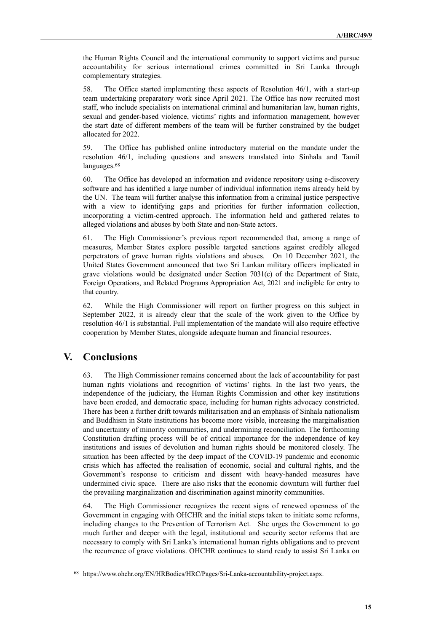the Human Rights Council and the international community to support victims and pursue accountability for serious international crimes committed in Sri Lanka through complementary strategies.

58. The Office started implementing these aspects of [Resolution 46/1](https://www.ohchr.org/EN/HRBodies/HRC/RegularSessions/Session46/Pages/ListReports.aspx), with a start-up team undertaking preparatory work since April 2021. The Office has now recruited most staff, who include specialists on international criminal and humanitarian law, human rights, sexual and gender-based violence, victims' rights and information management, however the start date of different members of the team will be further constrained by the budget allocated for 2022.

59. The Office has published online introductory material on the mandate under the resolution 46/1, including questions and answers translated into Sinhala and Tamil languages.<sup>68</sup>

<span id="page-14-1"></span>60. The Office has developed an information and evidence repository using e-discovery software and has identified a large number of individual information items already held by the UN. The team will further analyse this information from a criminal justice perspective with a view to identifying gaps and priorities for further information collection, incorporating a victim-centred approach. The information held and gathered relates to alleged violations and abuses by both State and non-State actors.

61. The High Commissioner's previous report recommended that, among a range of measures, Member States explore possible targeted sanctions against credibly alleged perpetrators of grave human rights violations and abuses. On 10 December 2021, the United States Government announced that two Sri Lankan military officers implicated in grave violations would be designated under Section 7031(c) of the Department of State, Foreign Operations, and Related Programs Appropriation Act, 2021 and ineligible for entry to that country.

62. While the High Commissioner will report on further progress on this subject in September 2022, it is already clear that the scale of the work given to the Office by resolution 46/1 is substantial. Full implementation of the mandate will also require effective cooperation by Member States, alongside adequate human and financial resources.

# **V. Conclusions**

63. The High Commissioner remains concerned about the lack of accountability for past human rights violations and recognition of victims' rights. In the last two years, the independence of the judiciary, the Human Rights Commission and other key institutions have been eroded, and democratic space, including for human rights advocacy constricted. There has been a further drift towards militarisation and an emphasis of Sinhala nationalism and Buddhism in State institutions has become more visible, increasing the marginalisation and uncertainty of minority communities, and undermining reconciliation. The forthcoming Constitution drafting process will be of critical importance for the independence of key institutions and issues of devolution and human rights should be monitored closely. The situation has been affected by the deep impact of the COVID-19 pandemic and economic crisis which has affected the realisation of economic, social and cultural rights, and the Government's response to criticism and dissent with heavy-handed measures have undermined civic space. There are also risks that the economic downturn will further fuel the prevailing marginalization and discrimination against minority communities.

64. The High Commissioner recognizes the recent signs of renewed openness of the Government in engaging with OHCHR and the initial steps taken to initiate some reforms, including changes to the Prevention of Terrorism Act. She urges the Government to go much further and deeper with the legal, institutional and security sector reforms that are necessary to comply with Sri Lanka's international human rights obligations and to prevent the recurrence of grave violations. OHCHR continues to stand ready to assist Sri Lanka on

<span id="page-14-0"></span><sup>68</sup> <https://www.ohchr.org/EN/HRBodies/HRC/Pages/Sri-Lanka-accountability-project.aspx>.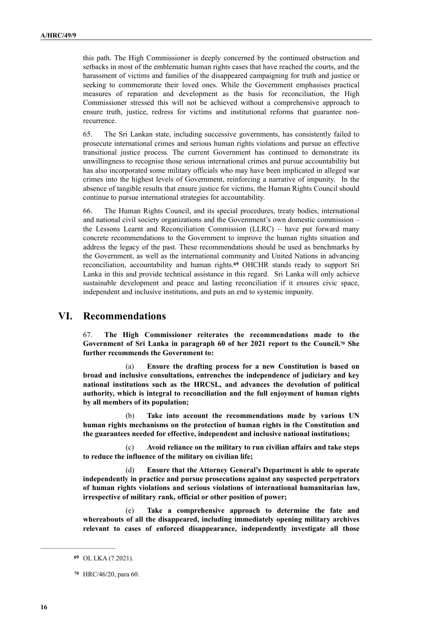this path. The High Commissioner is deeply concerned by the continued obstruction and setbacks in most of the emblematic human rights cases that have reached the courts, and the harassment of victims and families of the disappeared campaigning for truth and justice or seeking to commemorate their loved ones. While the Government emphasises practical measures of reparation and development as the basis for reconciliation, the High Commissioner stressed this will not be achieved without a comprehensive approach to ensure truth, justice, redress for victims and institutional reforms that guarantee nonrecurrence.

65. The Sri Lankan state, including successive governments, has consistently failed to prosecute international crimes and serious human rights violations and pursue an effective transitional justice process*.* The current Government has continued to demonstrate its unwillingness to recognise those serious international crimes and pursue accountability but has also incorporated some military officials who may have been implicated in alleged war crimes into the highest levels of Government, reinforcing a narrative of impunity. In the absence of tangible results that ensure justice for victims, the Human Rights Council should continue to pursue international strategies for accountability.

<span id="page-15-2"></span>66. The Human Rights Council, and its special procedures, treaty bodies, international and national civil society organizations and the Government's own domestic commission – the Lessons Learnt and Reconciliation Commission (LLRC) – have put forward many concrete recommendations to the Government to improve the human rights situation and address the legacy of the past. These recommendations should be used as benchmarks by the Government, as well as the international community and United Nations in advancing reconciliation, accountability and human rights.<sup>69</sup> OHCHR stands ready to support Sri Lanka in this and provide technical assistance in this regard. Sri Lanka will only achieve sustainable development and peace and lasting reconciliation if it ensures civic space, independent and inclusive institutions, and puts an end to systemic impunity.

# **VI. Recommendations**

<span id="page-15-3"></span>67. **The High Commissioner reiterates the recommendations made to the**  Governmentof Sri Lanka in paragraph 60 of her 2021 report to the Council.<sup>[70](#page-15-1)</sup> She **further recommends the Government to:**

(a) **Ensure the drafting process for a new Constitution is based on broad and inclusive consultations, entrenches the independence of judiciary and key national institutions such as the HRCSL, and advances the devolution of political authority, which is integral to reconciliation and the full enjoyment of human rights by all members of its population;**

(b) **Take into account the recommendations made by various UN human rights mechanisms on the protection of human rights in the Constitution and the guarantees needed for effective, independent and inclusive national institutions;**

(c) **Avoid reliance on the military to run civilian affairs and take steps to reduce the influence of the military on civilian life;**

(d) **Ensure that the Attorney General's Department is able to operate independently in practice and pursue prosecutions against any suspected perpetrators of human rights violations and serious violations of international humanitarian law, irrespective of military rank, official or other position of power;**

(e) **Take a comprehensive approach to determine the fate and whereabouts of all the disappeared, including immediately opening military archives relevant to cases of enforced disappearance, independently investigate all those** 

<span id="page-15-0"></span>OL LKA (7.2021). **[69](#page-15-2)**

<span id="page-15-1"></span>HRC/46/20, para 60. **[70](#page-15-3)**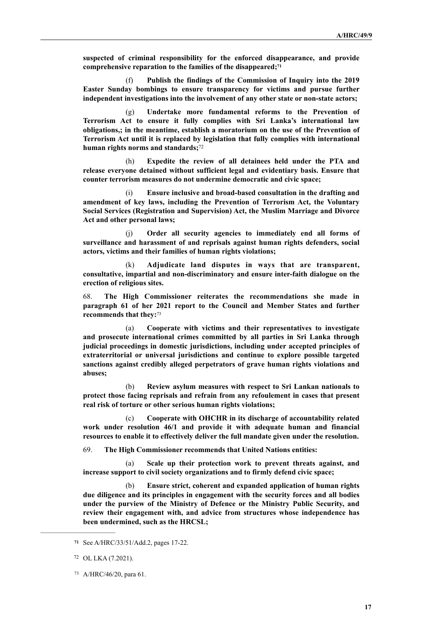<span id="page-16-3"></span>**suspected of criminal responsibility for the enforced disappearance, and provide comprehensive reparation to the families of the disappeared[;71](#page-16-0)**

(f) **Publish the findings of the Commission of Inquiry into the 2019 Easter Sunday bombings to ensure transparency for victims and pursue further independent investigations into the involvement of any other state or non-state actors;**

(g) **Undertake more fundamental reforms to the Prevention of Terrorism Act to ensure it fully complies with Sri Lanka's international law obligations,; in the meantime, establish a moratorium on the use of the Prevention of Terrorism Act until it is replaced by legislation that fully complies with international human rights norms and standards;**[72](#page-16-1)

<span id="page-16-4"></span>(h) **Expedite the review of all detainees held under the PTA and release everyone detained without sufficient legal and evidentiary basis. Ensure that counter terrorism measures do not undermine democratic and civic space;**

(i) **Ensure inclusive and broad-based consultation in the drafting and amendment of key laws, including the Prevention of Terrorism Act, the Voluntary Social Services (Registration and Supervision) Act, the Muslim Marriage and Divorce Act and other personal laws;**

(j) **Order all security agencies to immediately end all forms of surveillance and harassment of and reprisals against human rights defenders, social actors, victims and their families of human rights violations;**

(k) **Adjudicate land disputes in ways that are transparent, consultative, impartial and non-discriminatory and ensure inter-faith dialogue on the erection of religious sites.**

68. **The High Commissioner reiterates the recommendations she made in paragraph 61 of her 2021 report to the Council and Member States and further recommends that they:**[73](#page-16-2)

<span id="page-16-5"></span>(a) **Cooperate with victims and their representatives to investigate and prosecute international crimes committed by all parties in Sri Lanka through judicial proceedings in domestic jurisdictions, including under accepted principles of extraterritorial or universal jurisdictions and continue to explore possible targeted sanctions against credibly alleged perpetrators of grave human rights violations and abuses;** 

(b) **Review asylum measures with respect to Sri Lankan nationals to protect those facing reprisals and refrain from any refoulement in cases that present real risk of torture or other serious human rights violations;**

(c) **Cooperate with OHCHR in its discharge of accountability related work under resolution 46/1 and provide it with adequate human and financial resources to enable it to effectively deliver the full mandate given under the resolution.**

69. **The High Commissioner recommends that United Nations entities:** 

(a) **Scale up their protection work to prevent threats against, and increase support to civil society organizations and to firmly defend civic space;** 

(b) **Ensure strict, coherent and expanded application of human rights due diligence and its principles in engagement with the security forces and all bodies under the purview of the Ministry of Defence or the Ministry Public Security, and review their engagement with, and advice from structures whose independence has been undermined, such as the HRCSL;**

<span id="page-16-0"></span>See A/HRC/33/51/Add.2, pages 17-22. **[71](#page-16-3)**

<span id="page-16-1"></span>OL LKA (7.2021). [72](#page-16-4)

<span id="page-16-2"></span>A/HRC/46/20, para 61. [73](#page-16-5)